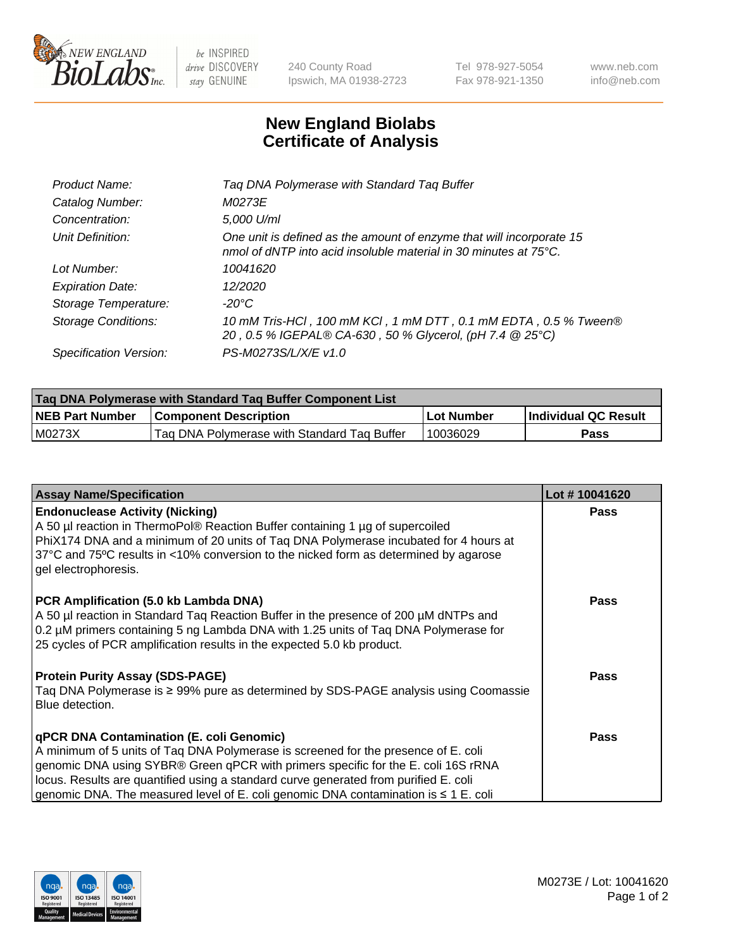

 $be$  INSPIRED drive DISCOVERY stay GENUINE

240 County Road Ipswich, MA 01938-2723 Tel 978-927-5054 Fax 978-921-1350 www.neb.com info@neb.com

## **New England Biolabs Certificate of Analysis**

| Tag DNA Polymerase with Standard Tag Buffer                                                                                              |
|------------------------------------------------------------------------------------------------------------------------------------------|
| M0273E                                                                                                                                   |
| 5,000 U/ml                                                                                                                               |
| One unit is defined as the amount of enzyme that will incorporate 15<br>nmol of dNTP into acid insoluble material in 30 minutes at 75°C. |
| 10041620                                                                                                                                 |
| 12/2020                                                                                                                                  |
| $-20^{\circ}$ C                                                                                                                          |
| 10 mM Tris-HCl, 100 mM KCl, 1 mM DTT, 0.1 mM EDTA, 0.5 % Tween®<br>20, 0.5 % IGEPAL® CA-630, 50 % Glycerol, (pH 7.4 @ 25°C)              |
| PS-M0273S/L/X/E v1.0                                                                                                                     |
|                                                                                                                                          |

| <b>Tag DNA Polymerase with Standard Tag Buffer Component List</b> |                                             |                   |                      |  |  |
|-------------------------------------------------------------------|---------------------------------------------|-------------------|----------------------|--|--|
| <b>NEB Part Number</b>                                            | <b>Component Description</b>                | <b>Lot Number</b> | Individual QC Result |  |  |
| M0273X                                                            | Tag DNA Polymerase with Standard Tag Buffer | 10036029          | Pass                 |  |  |

| <b>Assay Name/Specification</b>                                                                                                                                                                                                                                                                                                                                                                         | Lot #10041620 |
|---------------------------------------------------------------------------------------------------------------------------------------------------------------------------------------------------------------------------------------------------------------------------------------------------------------------------------------------------------------------------------------------------------|---------------|
| <b>Endonuclease Activity (Nicking)</b><br>A 50 µl reaction in ThermoPol® Reaction Buffer containing 1 µg of supercoiled<br>PhiX174 DNA and a minimum of 20 units of Tag DNA Polymerase incubated for 4 hours at<br>37°C and 75°C results in <10% conversion to the nicked form as determined by agarose<br>gel electrophoresis.                                                                         | <b>Pass</b>   |
| PCR Amplification (5.0 kb Lambda DNA)<br>A 50 µl reaction in Standard Taq Reaction Buffer in the presence of 200 µM dNTPs and<br>0.2 µM primers containing 5 ng Lambda DNA with 1.25 units of Tag DNA Polymerase for<br>25 cycles of PCR amplification results in the expected 5.0 kb product.                                                                                                          | <b>Pass</b>   |
| <b>Protein Purity Assay (SDS-PAGE)</b><br>Taq DNA Polymerase is ≥ 99% pure as determined by SDS-PAGE analysis using Coomassie<br>Blue detection.                                                                                                                                                                                                                                                        | <b>Pass</b>   |
| qPCR DNA Contamination (E. coli Genomic)<br>A minimum of 5 units of Taq DNA Polymerase is screened for the presence of E. coli<br>genomic DNA using SYBR® Green qPCR with primers specific for the E. coli 16S rRNA<br>locus. Results are quantified using a standard curve generated from purified E. coli<br>genomic DNA. The measured level of E. coli genomic DNA contamination is $\leq 1$ E. coli | <b>Pass</b>   |